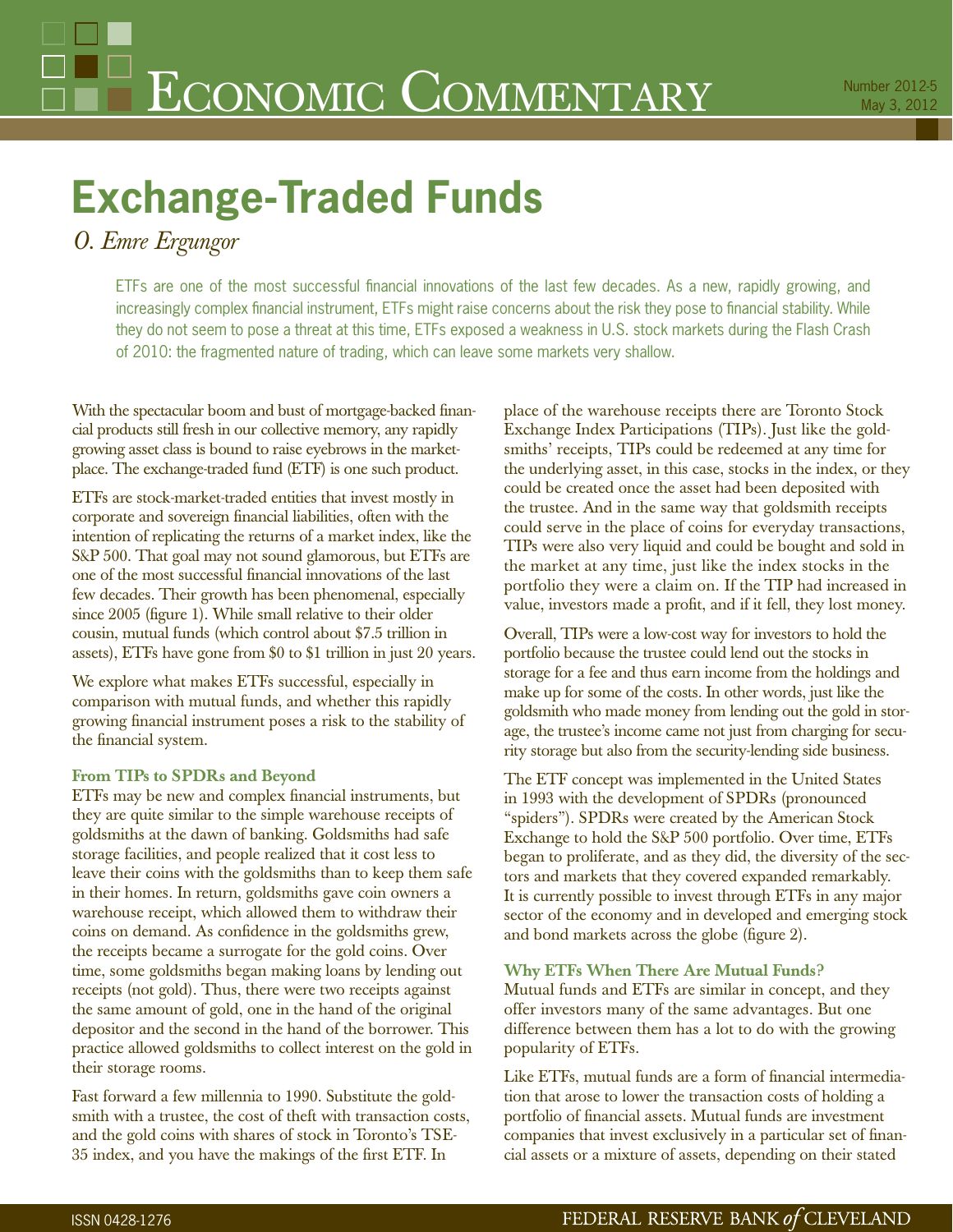# **Exchange-Traded Funds**

# *O. Emre Ergungor*

ETFs are one of the most successful financial innovations of the last few decades. As a new, rapidly growing, and increasingly complex financial instrument, ETFs might raise concerns about the risk they pose to financial stability. While they do not seem to pose a threat at this time, ETFs exposed a weakness in U.S. stock markets during the Flash Crash of 2010: the fragmented nature of trading, which can leave some markets very shallow.

With the spectacular boom and bust of mortgage-backed financial products still fresh in our collective memory, any rapidly growing asset class is bound to raise eyebrows in the marketplace. The exchange-traded fund (ETF) is one such product.

ETFs are stock-market-traded entities that invest mostly in corporate and sovereign financial liabilities, often with the intention of replicating the returns of a market index, like the S&P 500. That goal may not sound glamorous, but ETFs are one of the most successful financial innovations of the last few decades. Their growth has been phenomenal, especially since 2005 (figure 1). While small relative to their older cousin, mutual funds (which control about \$7.5 trillion in assets), ETFs have gone from \$0 to \$1 trillion in just 20 years.

We explore what makes ETFs successful, especially in comparison with mutual funds, and whether this rapidly growing financial instrument poses a risk to the stability of the financial system.

### **From TIPs to SPDRs and Beyond**

ETFs may be new and complex financial instruments, but they are quite similar to the simple warehouse receipts of goldsmiths at the dawn of banking. Goldsmiths had safe storage facilities, and people realized that it cost less to leave their coins with the goldsmiths than to keep them safe in their homes. In return, goldsmiths gave coin owners a warehouse receipt, which allowed them to withdraw their coins on demand. As confidence in the goldsmiths grew, the receipts became a surrogate for the gold coins. Over time, some goldsmiths began making loans by lending out receipts (not gold). Thus, there were two receipts against the same amount of gold, one in the hand of the original depositor and the second in the hand of the borrower. This practice allowed goldsmiths to collect interest on the gold in their storage rooms.

Fast forward a few millennia to 1990. Substitute the goldsmith with a trustee, the cost of theft with transaction costs, and the gold coins with shares of stock in Toronto's TSE-35 index, and you have the makings of the first ETF. In

place of the warehouse receipts there are Toronto Stock Exchange Index Participations (TIPs). Just like the goldsmiths' receipts, TIPs could be redeemed at any time for the underlying asset, in this case, stocks in the index, or they could be created once the asset had been deposited with the trustee. And in the same way that goldsmith receipts could serve in the place of coins for everyday transactions, TIPs were also very liquid and could be bought and sold in the market at any time, just like the index stocks in the portfolio they were a claim on. If the TIP had increased in value, investors made a profit, and if it fell, they lost money.

Overall, TIPs were a low-cost way for investors to hold the portfolio because the trustee could lend out the stocks in storage for a fee and thus earn income from the holdings and make up for some of the costs. In other words, just like the goldsmith who made money from lending out the gold in storage, the trustee's income came not just from charging for security storage but also from the security-lending side business.

The ETF concept was implemented in the United States in 1993 with the development of SPDRs (pronounced "spiders"). SPDRs were created by the American Stock Exchange to hold the S&P 500 portfolio. Over time, ETFs began to proliferate, and as they did, the diversity of the sectors and markets that they covered expanded remarkably. It is currently possible to invest through ETFs in any major sector of the economy and in developed and emerging stock and bond markets across the globe (figure 2).

### **Why ETFs When There Are Mutual Funds?**

Mutual funds and ETFs are similar in concept, and they offer investors many of the same advantages. But one difference between them has a lot to do with the growing popularity of ETFs.

Like ETFs, mutual funds are a form of financial intermediation that arose to lower the transaction costs of holding a portfolio of financial assets. Mutual funds are investment companies that invest exclusively in a particular set of financial assets or a mixture of assets, depending on their stated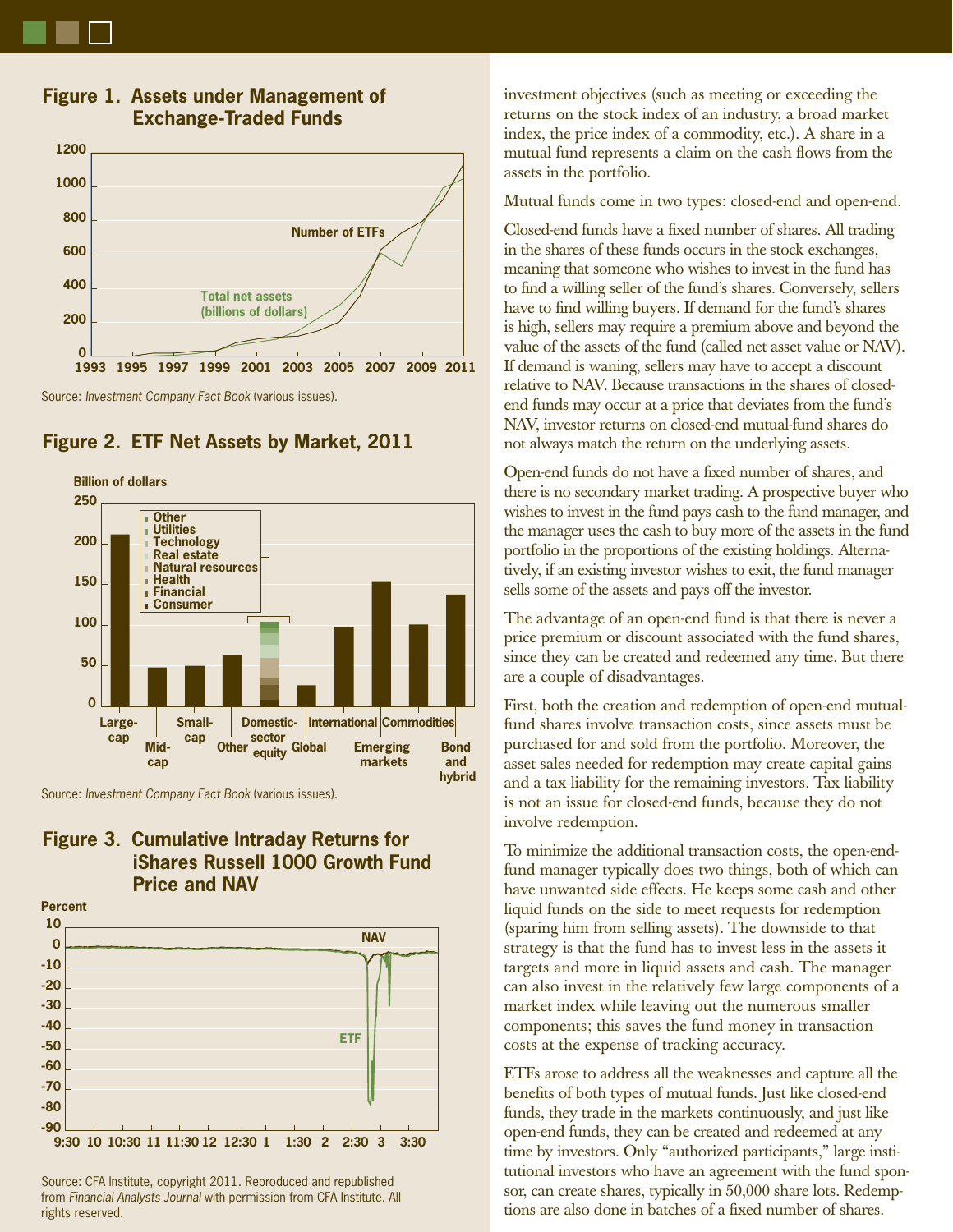

## **Figure 1. Assets under Management of Exchange-Traded Funds**

Source: Investment Company Fact Book (various issues).



## **Figure 2. ETF Net Assets by Market, 2011**

Source: Investment Company Fact Book (various issues).

## **Figure 3. Cumulative Intraday Returns for iShares Russell 1000 Growth Fund Price and NAV**

**10 Percent**



Source: CFA Institute, copyright 2011. Reproduced and republished from Financial Analysts Journal with permission from CFA Institute. All rights reserved.

investment objectives (such as meeting or exceeding the returns on the stock index of an industry, a broad market index, the price index of a commodity, etc.). A share in a mutual fund represents a claim on the cash flows from the assets in the portfolio.

Mutual funds come in two types: closed-end and open-end.

Closed-end funds have a fixed number of shares. All trading in the shares of these funds occurs in the stock exchanges, meaning that someone who wishes to invest in the fund has to find a willing seller of the fund's shares. Conversely, sellers have to find willing buyers. If demand for the fund's shares is high, sellers may require a premium above and beyond the value of the assets of the fund (called net asset value or NAV). If demand is waning, sellers may have to accept a discount relative to NAV. Because transactions in the shares of closedend funds may occur at a price that deviates from the fund's NAV, investor returns on closed-end mutual-fund shares do not always match the return on the underlying assets.

Open-end funds do not have a fixed number of shares, and there is no secondary market trading. A prospective buyer who wishes to invest in the fund pays cash to the fund manager, and the manager uses the cash to buy more of the assets in the fund portfolio in the proportions of the existing holdings. Alternatively, if an existing investor wishes to exit, the fund manager sells some of the assets and pays off the investor.

The advantage of an open-end fund is that there is never a price premium or discount associated with the fund shares, since they can be created and redeemed any time. But there are a couple of disadvantages.

First, both the creation and redemption of open-end mutualfund shares involve transaction costs, since assets must be purchased for and sold from the portfolio. Moreover, the asset sales needed for redemption may create capital gains and a tax liability for the remaining investors. Tax liability is not an issue for closed-end funds, because they do not involve redemption.

To minimize the additional transaction costs, the open-endfund manager typically does two things, both of which can have unwanted side effects. He keeps some cash and other liquid funds on the side to meet requests for redemption (sparing him from selling assets). The downside to that strategy is that the fund has to invest less in the assets it targets and more in liquid assets and cash. The manager can also invest in the relatively few large components of a market index while leaving out the numerous smaller components; this saves the fund money in transaction costs at the expense of tracking accuracy.

ETFs arose to address all the weaknesses and capture all the benefits of both types of mutual funds. Just like closed-end funds, they trade in the markets continuously, and just like open-end funds, they can be created and redeemed at any time by investors. Only "authorized participants," large institutional investors who have an agreement with the fund sponsor, can create shares, typically in 50,000 share lots. Redemptions are also done in batches of a fixed number of shares.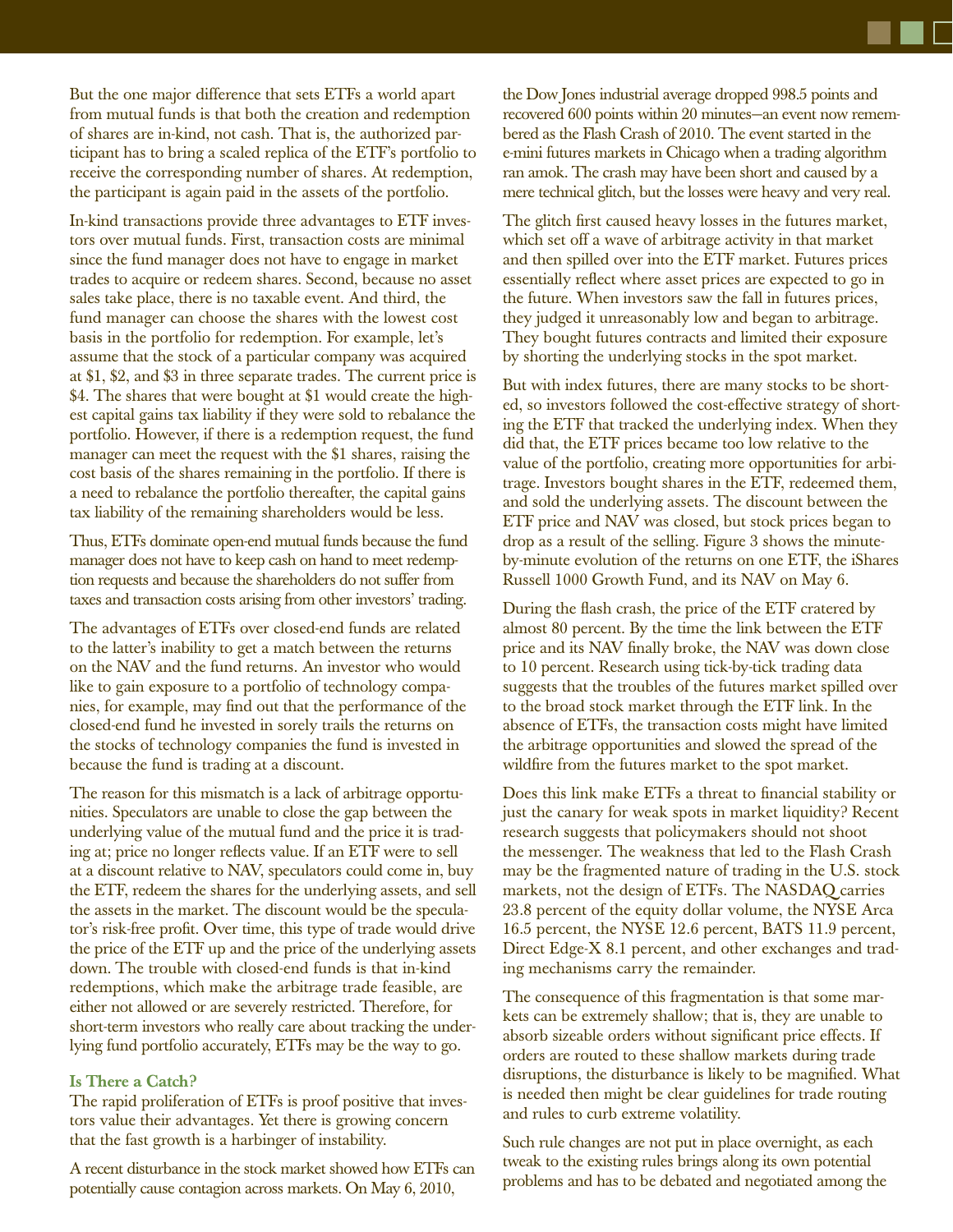But the one major difference that sets ETFs a world apart from mutual funds is that both the creation and redemption of shares are in-kind, not cash. That is, the authorized participant has to bring a scaled replica of the ETF's portfolio to receive the corresponding number of shares. At redemption, the participant is again paid in the assets of the portfolio.

In-kind transactions provide three advantages to ETF investors over mutual funds. First, transaction costs are minimal since the fund manager does not have to engage in market trades to acquire or redeem shares. Second, because no asset sales take place, there is no taxable event. And third, the fund manager can choose the shares with the lowest cost basis in the portfolio for redemption. For example, let's assume that the stock of a particular company was acquired at \$1, \$2, and \$3 in three separate trades. The current price is \$4. The shares that were bought at \$1 would create the highest capital gains tax liability if they were sold to rebalance the portfolio. However, if there is a redemption request, the fund manager can meet the request with the \$1 shares, raising the cost basis of the shares remaining in the portfolio. If there is a need to rebalance the portfolio thereafter, the capital gains tax liability of the remaining shareholders would be less.

Thus, ETFs dominate open-end mutual funds because the fund manager does not have to keep cash on hand to meet redemption requests and because the shareholders do not suffer from taxes and transaction costs arising from other investors' trading.

The advantages of ETFs over closed-end funds are related to the latter's inability to get a match between the returns on the NAV and the fund returns. An investor who would like to gain exposure to a portfolio of technology companies, for example, may find out that the performance of the closed-end fund he invested in sorely trails the returns on the stocks of technology companies the fund is invested in because the fund is trading at a discount.

The reason for this mismatch is a lack of arbitrage opportunities. Speculators are unable to close the gap between the underlying value of the mutual fund and the price it is trading at; price no longer reflects value. If an ETF were to sell at a discount relative to NAV, speculators could come in, buy the ETF, redeem the shares for the underlying assets, and sell the assets in the market. The discount would be the speculator's risk-free profit. Over time, this type of trade would drive the price of the ETF up and the price of the underlying assets down. The trouble with closed-end funds is that in-kind redemptions, which make the arbitrage trade feasible, are either not allowed or are severely restricted. Therefore, for short-term investors who really care about tracking the underlying fund portfolio accurately, ETFs may be the way to go.

#### **Is There a Catch?**

The rapid proliferation of ETFs is proof positive that investors value their advantages. Yet there is growing concern that the fast growth is a harbinger of instability.

A recent disturbance in the stock market showed how ETFs can potentially cause contagion across markets. On May 6, 2010,

the Dow Jones industrial average dropped 998.5 points and recovered 600 points within 20 minutes—an event now remembered as the Flash Crash of 2010. The event started in the e-mini futures markets in Chicago when a trading algorithm ran amok. The crash may have been short and caused by a mere technical glitch, but the losses were heavy and very real.

The glitch first caused heavy losses in the futures market, which set off a wave of arbitrage activity in that market and then spilled over into the ETF market. Futures prices essentially reflect where asset prices are expected to go in the future. When investors saw the fall in futures prices, they judged it unreasonably low and began to arbitrage. They bought futures contracts and limited their exposure by shorting the underlying stocks in the spot market.

But with index futures, there are many stocks to be shorted, so investors followed the cost-effective strategy of shorting the ETF that tracked the underlying index. When they did that, the ETF prices became too low relative to the value of the portfolio, creating more opportunities for arbitrage. Investors bought shares in the ETF, redeemed them, and sold the underlying assets. The discount between the ETF price and NAV was closed, but stock prices began to drop as a result of the selling. Figure 3 shows the minuteby-minute evolution of the returns on one ETF, the iShares Russell 1000 Growth Fund, and its NAV on May 6.

During the flash crash, the price of the ETF cratered by almost 80 percent. By the time the link between the ETF price and its NAV finally broke, the NAV was down close to 10 percent. Research using tick-by-tick trading data suggests that the troubles of the futures market spilled over to the broad stock market through the ETF link. In the absence of ETFs, the transaction costs might have limited the arbitrage opportunities and slowed the spread of the wildfire from the futures market to the spot market.

Does this link make ETFs a threat to financial stability or just the canary for weak spots in market liquidity? Recent research suggests that policymakers should not shoot the messenger. The weakness that led to the Flash Crash may be the fragmented nature of trading in the U.S. stock markets, not the design of ETFs. The NASDAQ carries 23.8 percent of the equity dollar volume, the NYSE Arca 16.5 percent, the NYSE 12.6 percent, BATS 11.9 percent, Direct Edge-X 8.1 percent, and other exchanges and trading mechanisms carry the remainder.

The consequence of this fragmentation is that some markets can be extremely shallow; that is, they are unable to absorb sizeable orders without significant price effects. If orders are routed to these shallow markets during trade disruptions, the disturbance is likely to be magnified. What is needed then might be clear guidelines for trade routing and rules to curb extreme volatility.

Such rule changes are not put in place overnight, as each tweak to the existing rules brings along its own potential problems and has to be debated and negotiated among the